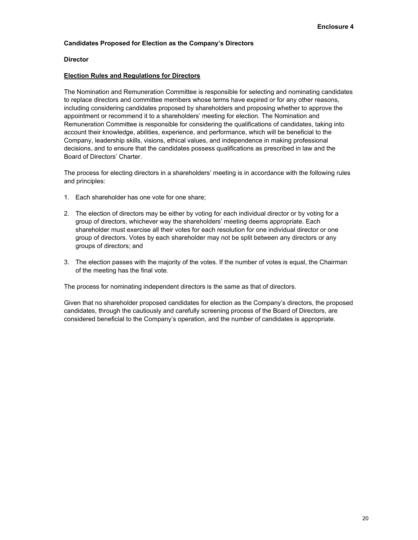## **Candidates Proposed for Election as the Company's Directors**

## **Director**

## **Election Rules and Regulations for Directors**

The Nomination and Remuneration Committee is responsible for selecting and nominating candidates to replace directors and committee members whose terms have expired or for any other reasons, including considering candidates proposed by shareholders and proposing whether to approve the appointment or recommend it to a shareholders' meeting for election. The Nomination and Remuneration Committee is responsible for considering the qualifications of candidates, taking into account their knowledge, abilities, experience, and performance, which will be beneficial to the Company, leadership skills, visions, ethical values, and independence in making professional decisions, and to ensure that the candidates possess qualifications as prescribed in law and the Board of Directors' Charter.

The process for electing directors in a shareholders' meeting is in accordance with the following rules and principles:

- 1. Each shareholder has one vote for one share;
- 2. The election of directors may be either by voting for each individual director or by voting for a group of directors, whichever way the shareholders' meeting deems appropriate. Each shareholder must exercise all their votes for each resolution for one individual director or one group of directors. Votes by each shareholder may not be split between any directors or any groups of directors; and
- 3. The election passes with the majority of the votes. If the number of votes is equal, the Chairman of the meeting has the final vote.

The process for nominating independent directors is the same as that of directors.

Given that no shareholder proposed candidates for election as the Company's directors, the proposed candidates, through the cautiously and carefully screening process of the Board of Directors, are considered beneficial to the Company's operation, and the number of candidates is appropriate.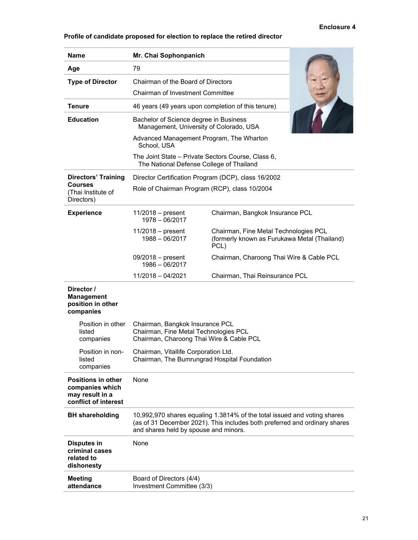# **Enclosure 4**

# **Profile of candidate proposed for election to replace the retired director**

| Name                                                                                    | Mr. Chai Sophonpanich                                                                                                |                                                                                                                                                        |  |
|-----------------------------------------------------------------------------------------|----------------------------------------------------------------------------------------------------------------------|--------------------------------------------------------------------------------------------------------------------------------------------------------|--|
| Age                                                                                     | 79                                                                                                                   |                                                                                                                                                        |  |
| <b>Type of Director</b>                                                                 | Chairman of the Board of Directors                                                                                   |                                                                                                                                                        |  |
|                                                                                         | <b>Chairman of Investment Committee</b>                                                                              |                                                                                                                                                        |  |
| Tenure                                                                                  | 46 years (49 years upon completion of this tenure)                                                                   |                                                                                                                                                        |  |
| <b>Education</b>                                                                        | Bachelor of Science degree in Business<br>Management, University of Colorado, USA                                    |                                                                                                                                                        |  |
|                                                                                         | Advanced Management Program, The Wharton<br>School, USA                                                              |                                                                                                                                                        |  |
|                                                                                         | The Joint State – Private Sectors Course, Class 6,<br>The National Defense College of Thailand                       |                                                                                                                                                        |  |
| <b>Directors' Training</b>                                                              | Director Certification Program (DCP), class 16/2002<br>Role of Chairman Program (RCP), class 10/2004                 |                                                                                                                                                        |  |
| Courses<br>(Thai Institute of<br>Directors)                                             |                                                                                                                      |                                                                                                                                                        |  |
| <b>Experience</b>                                                                       | $11/2018$ – present<br>1978 - 06/2017                                                                                | Chairman, Bangkok Insurance PCL                                                                                                                        |  |
|                                                                                         | $11/2018$ – present<br>1988 - 06/2017                                                                                | Chairman, Fine Metal Technologies PCL<br>(formerly known as Furukawa Metal (Thailand)<br>PCL)                                                          |  |
|                                                                                         | $09/2018$ – present<br>$1986 - 06/2017$                                                                              | Chairman, Charoong Thai Wire & Cable PCL                                                                                                               |  |
|                                                                                         | 11/2018 - 04/2021                                                                                                    | Chairman, Thai Reinsurance PCL                                                                                                                         |  |
| Director /<br><b>Management</b><br>position in other<br>companies                       |                                                                                                                      |                                                                                                                                                        |  |
| Position in other<br>listed<br>companies                                                | Chairman, Bangkok Insurance PCL<br>Chairman, Fine Metal Technologies PCL<br>Chairman, Charoong Thai Wire & Cable PCL |                                                                                                                                                        |  |
| Position in non-<br>listed<br>companies                                                 | Chairman, Vitallife Corporation Ltd.<br>Chairman, The Bumrungrad Hospital Foundation                                 |                                                                                                                                                        |  |
| <b>Positions in other</b><br>companies which<br>may result in a<br>conflict of interest | None                                                                                                                 |                                                                                                                                                        |  |
| <b>BH</b> shareholding                                                                  | and shares held by spouse and minors.                                                                                | 10,992,970 shares equaling 1.3814% of the total issued and voting shares<br>(as of 31 December 2021). This includes both preferred and ordinary shares |  |
| <b>Disputes in</b><br>criminal cases<br>related to<br>dishonesty                        | None                                                                                                                 |                                                                                                                                                        |  |
| <b>Meeting</b><br>attendance                                                            | Board of Directors (4/4)<br>Investment Committee (3/3)                                                               |                                                                                                                                                        |  |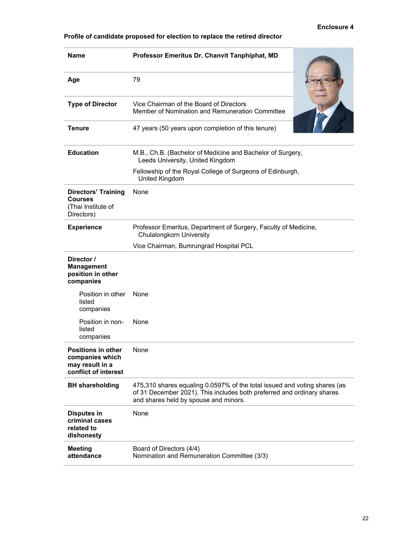# **Enclosure 4**

| Profile of candidate proposed for election to replace the retired director |  |  |
|----------------------------------------------------------------------------|--|--|
|----------------------------------------------------------------------------|--|--|

| <b>Name</b>                                                                             | Professor Emeritus Dr. Chanvit Tanphiphat, MD                                                                                                                                                |
|-----------------------------------------------------------------------------------------|----------------------------------------------------------------------------------------------------------------------------------------------------------------------------------------------|
| Age                                                                                     | 79                                                                                                                                                                                           |
| <b>Type of Director</b>                                                                 | Vice Chairman of the Board of Directors<br>Member of Nomination and Remuneration Committee                                                                                                   |
| Tenure                                                                                  | 47 years (50 years upon completion of this tenure)                                                                                                                                           |
| <b>Education</b>                                                                        | M.B., Ch.B. (Bachelor of Medicine and Bachelor of Surgery,<br>Leeds University, United Kingdom                                                                                               |
|                                                                                         | Fellowship of the Royal College of Surgeons of Edinburgh,<br>United Kingdom                                                                                                                  |
| <b>Directors' Training</b><br><b>Courses</b><br>(Thai Institute of<br>Directors)        | None                                                                                                                                                                                         |
| <b>Experience</b>                                                                       | Professor Emeritus, Department of Surgery, Faculty of Medicine,<br><b>Chulalongkorn University</b>                                                                                           |
|                                                                                         | Vice Chairman, Bumrungrad Hospital PCL                                                                                                                                                       |
| Director /<br><b>Management</b><br>position in other<br>companies                       |                                                                                                                                                                                              |
| Position in other<br>listed<br>companies                                                | None                                                                                                                                                                                         |
| Position in non-<br>listed<br>companies                                                 | None                                                                                                                                                                                         |
| <b>Positions in other</b><br>companies which<br>may result in a<br>conflict of interest | None                                                                                                                                                                                         |
| <b>BH</b> shareholding                                                                  | 475,310 shares equaling 0.0597% of the total issued and voting shares (as<br>of 31 December 2021). This includes both preferred and ordinary shares<br>and shares held by spouse and minors. |
| <b>Disputes in</b><br>criminal cases<br>related to<br>dishonesty                        | None                                                                                                                                                                                         |
| <b>Meeting</b><br>attendance                                                            | Board of Directors (4/4)<br>Nomination and Remuneration Committee (3/3)                                                                                                                      |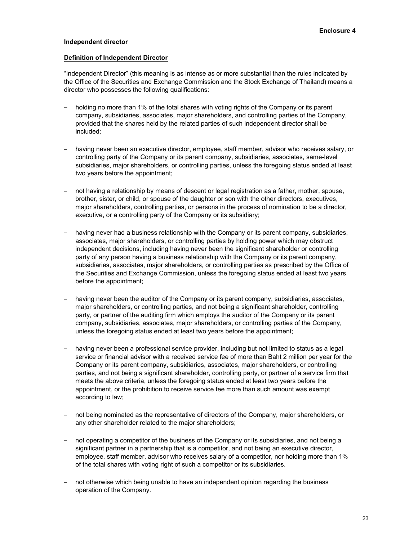### **Independent director**

### **Definition of Independent Director**

"Independent Director" (this meaning is as intense as or more substantial than the rules indicated by the Office of the Securities and Exchange Commission and the Stock Exchange of Thailand) means a director who possesses the following qualifications:

- holding no more than 1% of the total shares with voting rights of the Company or its parent company, subsidiaries, associates, major shareholders, and controlling parties of the Company, provided that the shares held by the related parties of such independent director shall be included;
- having never been an executive director, employee, staff member, advisor who receives salary, or controlling party of the Company or its parent company, subsidiaries, associates, same-level subsidiaries, major shareholders, or controlling parties, unless the foregoing status ended at least two years before the appointment;
- not having a relationship by means of descent or legal registration as a father, mother, spouse, brother, sister, or child, or spouse of the daughter or son with the other directors, executives, major shareholders, controlling parties, or persons in the process of nomination to be a director, executive, or a controlling party of the Company or its subsidiary;
- having never had a business relationship with the Company or its parent company, subsidiaries, associates, major shareholders, or controlling parties by holding power which may obstruct independent decisions, including having never been the significant shareholder or controlling party of any person having a business relationship with the Company or its parent company, subsidiaries, associates, major shareholders, or controlling parties as prescribed by the Office of the Securities and Exchange Commission, unless the foregoing status ended at least two years before the appointment;
- having never been the auditor of the Company or its parent company, subsidiaries, associates, major shareholders, or controlling parties, and not being a significant shareholder, controlling party, or partner of the auditing firm which employs the auditor of the Company or its parent company, subsidiaries, associates, major shareholders, or controlling parties of the Company, unless the foregoing status ended at least two years before the appointment;
- having never been a professional service provider, including but not limited to status as a legal service or financial advisor with a received service fee of more than Baht 2 million per year for the Company or its parent company, subsidiaries, associates, major shareholders, or controlling parties, and not being a significant shareholder, controlling party, or partner of a service firm that meets the above criteria, unless the foregoing status ended at least two years before the appointment, or the prohibition to receive service fee more than such amount was exempt according to law;
- not being nominated as the representative of directors of the Company, major shareholders, or any other shareholder related to the major shareholders;
- not operating a competitor of the business of the Company or its subsidiaries, and not being a significant partner in a partnership that is a competitor, and not being an executive director, employee, staff member, advisor who receives salary of a competitor, nor holding more than 1% of the total shares with voting right of such a competitor or its subsidiaries.
- not otherwise which being unable to have an independent opinion regarding the business operation of the Company.